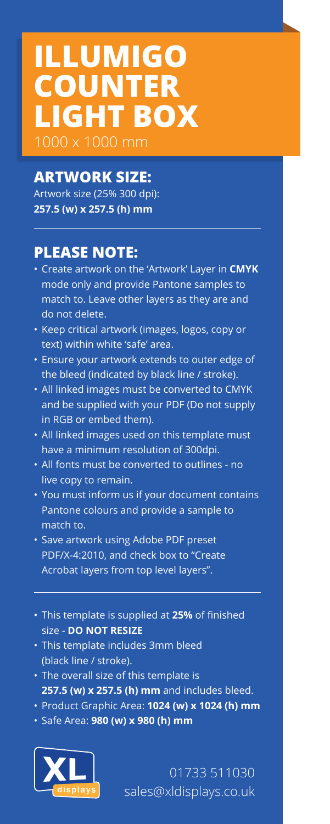## **ILLUMIGO COUNTER LIGHT BOX** 1000 x 1000 mm

## **ARTWORK SIZE:**

Artwork size (25% 300 dpi): **257.5 (w) x 257.5 (h) mm**

## **PLEASE NOTE:**

- Create artwork on the 'Artwork' Layer in **CMYK**  mode only and provide Pantone samples to match to. Leave other layers as they are and do not delete.
- Keep critical artwork (images, logos, copy or text) within white 'safe' area.
- Ensure your artwork extends to outer edge of the bleed (indicated by black line / stroke).
- All linked images must be converted to CMYK and be supplied with your PDF (Do not supply in RGB or embed them).
- All linked images used on this template must have a minimum resolution of 300dpi.
- All fonts must be converted to outlines no live copy to remain.
- You must inform us if your document contains Pantone colours and provide a sample to match to.
- Save artwork using Adobe PDF preset PDF/X-4:2010, and check box to "Create Acrobat layers from top level layers".
- This template is supplied at **25%** of finished size - **DO NOT RESIZE**
- This template includes 3mm bleed (black line / stroke).
- The overall size of this template is **257.5 (w) x 257.5 (h) mm** and includes bleed.
- Product Graphic Area: **1024 (w) x 1024 (h) mm**
- Safe Area: **980 (w) x 980 (h) mm**



01733 511030 sales@xldisplays.co.uk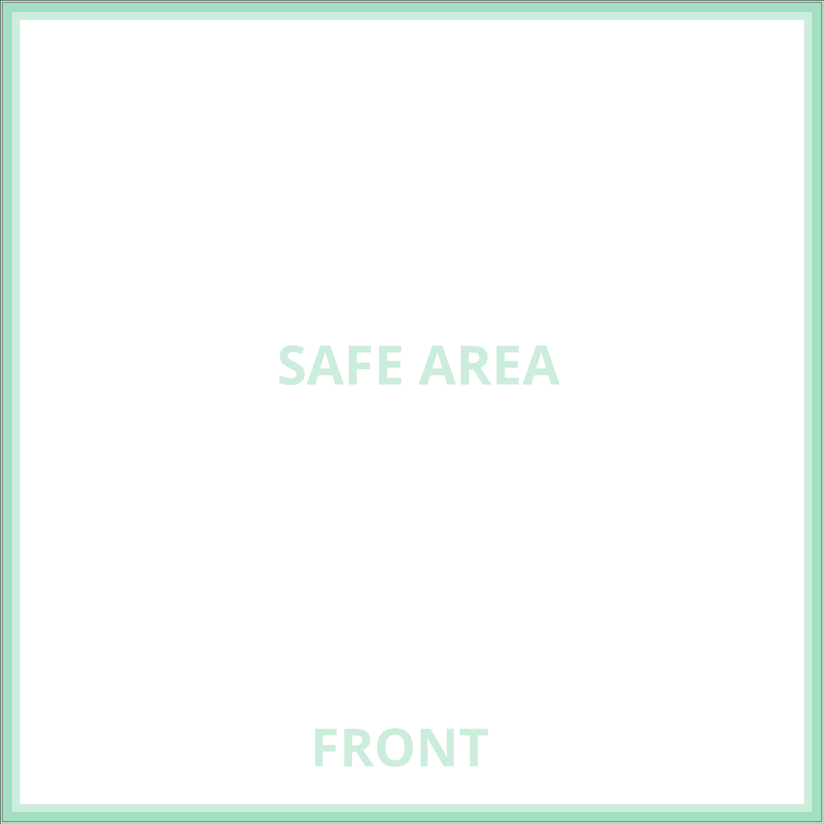**SAFE AREA**